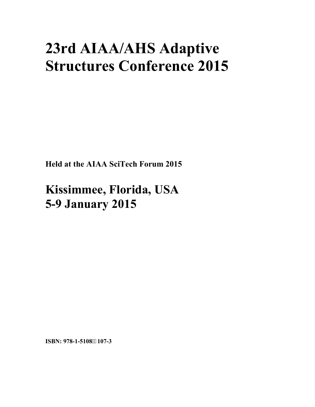# **23rd AIAA/AHS Adaptive Structures Conference 2015**

**Held at the AIAA SciTech Forum 2015** 

**Kissimmee, Florida, USA 5-9 January 2015**

**ISBN: 978-1-5108107-3**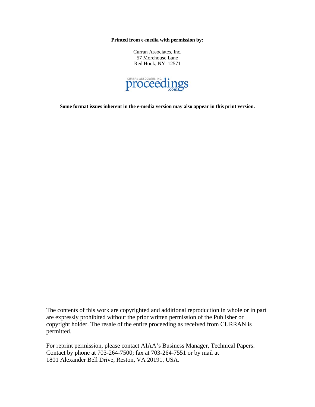**Printed from e-media with permission by:** 

Curran Associates, Inc. 57 Morehouse Lane Red Hook, NY 12571



**Some format issues inherent in the e-media version may also appear in this print version.** 

The contents of this work are copyrighted and additional reproduction in whole or in part are expressly prohibited without the prior written permission of the Publisher or copyright holder. The resale of the entire proceeding as received from CURRAN is permitted.

For reprint permission, please contact AIAA's Business Manager, Technical Papers. Contact by phone at 703-264-7500; fax at 703-264-7551 or by mail at 1801 Alexander Bell Drive, Reston, VA 20191, USA.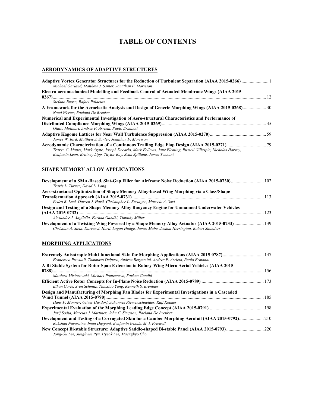## **TABLE OF CONTENTS**

#### **AERODYNAMICS OF ADAPTIVE STRUCTURES**

| Michael Garland, Matthew J. Santer, Jonathan F. Morrison                                                                                                                               |  |
|----------------------------------------------------------------------------------------------------------------------------------------------------------------------------------------|--|
| Electro-aeromechanical Modelling and Feedback Control of Actuated Membrane Wings (AIAA 2015-                                                                                           |  |
| Stefano Buoso, Rafael Palacios<br>A Framework for the Aeroelastic Analysis and Design of Generic Morphing Wings (AIAA 2015-0268) 30                                                    |  |
| Noud Werter, Roeland De Breuker<br>Numerical and Experimental Investigation of Aero-structural Characteristics and Performance of                                                      |  |
| Giulio Molinari, Andres F. Arrieta, Paolo Ermanni                                                                                                                                      |  |
| James W. Bird. Matthew J. Santer. Jonathan F. Morrison                                                                                                                                 |  |
| Travyn C. Mapes, Mark Agate, Joseph Decarlo, Mark Fellows, Jane Fleming, Russell Gillespie, Nicholas Harvey,<br>Benjamin Leon, Brittney Lipp, Taylor Ray, Sean Spillane, James Tennant |  |

#### **SHAPE MEMORY ALLOY APPLICATIONS**

| Development of a SMA-Based, Slat-Gap Filler for Airframe Noise Reduction (AIAA 2015-0730) 102    |  |
|--------------------------------------------------------------------------------------------------|--|
| Travis L. Turner, David L. Long                                                                  |  |
| Aero-structural Optimization of Shape Memory Alloy-based Wing Morphing via a Class/Shape         |  |
|                                                                                                  |  |
| Pedro B. Leal, Darren J. Hartl, Christopher L. Bertagne, Marcelo A. Savi                         |  |
| Design and Testing of a Shape Memory Alloy Buoyancy Engine for Unmanned Underwater Vehicles      |  |
|                                                                                                  |  |
| Alexander J. Angilella, Farhan Gandhi, Timothy Miller                                            |  |
| Development of a Twisting Wing Powered by a Shape Memory Alloy Actuator (AIAA 2015-0733)  139    |  |
| Christian A. Stein, Darren J. Hartl, Logan Hodge, James Mabe, Joshua Herrington, Robert Saunders |  |

#### **MORPHING APPLICATIONS**

| Extremely Anisotropic Multi-functional Skin for Morphing Applications (AIAA 2015-0787) 147       |  |
|--------------------------------------------------------------------------------------------------|--|
| Francesco Previtali, Tommaso Delpero, Andrea Bergamini, Andres F. Arrieta, Paolo Ermanni         |  |
| A Bi-Stable System for Rotor Span Extension in Rotary-Wing Micro Aerial Vehicles (AIAA 2015-     |  |
|                                                                                                  |  |
| Matthew Misiorowski, Michael Pontecorvo, Farhan Gandhi                                           |  |
|                                                                                                  |  |
| Ethan Corle, Sven Schmitz, Tianxiao Yang, Kenneth S. Brentner                                    |  |
| Design and Manufacturing of Morphing Fan Blades for Experimental Investigations in a Cascaded    |  |
|                                                                                                  |  |
| Hans P. Monner, Oliver Huxdorf, Johannes Riemenschneider, Ralf Keimer                            |  |
|                                                                                                  |  |
| Jurij Sodja, Marcias J. Martinez, John C. Simpson, Roeland De Breuker                            |  |
| Development and Testing of a Corrugated Skin for a Camber Morphing Aerofoil (AIAA 2015-0792) 210 |  |
| Rukshan Navaratne, Iman Dayyani, Benjamin Woods, M. I. Friswell                                  |  |
| Jong-Gu Lee, Junghyun Ryu, Hyeok Lee, Maenghyo Cho                                               |  |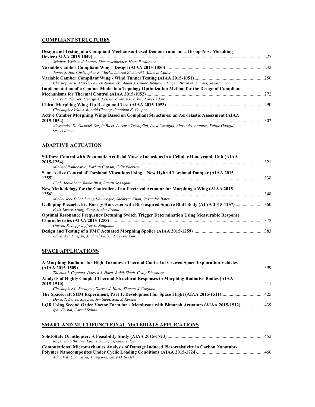#### **COMPLIANT STRUCTURES**

| Design and Testing of a Compliant Mechanism-based Demonstrator for a Droop-Nose Morphing                  |      |
|-----------------------------------------------------------------------------------------------------------|------|
|                                                                                                           | 227  |
| Srinivas Vasista, Johannes Riemenschneider, Hans P. Monner                                                |      |
|                                                                                                           | 2.42 |
| James J. Joo, Christopher R. Marks, Lauren Zientarski, Adam J. Culler                                     |      |
|                                                                                                           |      |
| Christopher R. Marks, Lauren Zientarski, Adam J. Culler, Benjamin Hagen, Brian M. Smyers, James J. Joo    |      |
| Implementation of a Contact Model in a Topology Optimization Method for the Design of Compliant           |      |
|                                                                                                           | 272  |
| Pierre F. Thurier, George A. Lesieutre, Mary Frecker, James Adair                                         |      |
|                                                                                                           |      |
| Christopher Wales, Ronald Cheung, Jonathan E. Cooper                                                      |      |
| Active Camber Morphing Wings Based on Compliant Structures: an Aeroelastic Assessment (AIAA               |      |
| $2015 - 1054$                                                                                             | 302  |
| Alessandro De Gaspari, Sergio Ricci, Lorenzo Travaglini, Luca Cavagna, Alexandre Antunes, Felipe Odaguil, |      |
| Grace Lima                                                                                                |      |

### **ADAPTIVE ACTUATION**

| Stiffness Control with Pneumatic Artificial Muscle Inclusions in a Cellular Honeycomb Unit (AIAA   |     |
|----------------------------------------------------------------------------------------------------|-----|
| Michael Pontecorvo, Farhan Gandhi, Felix Foerster                                                  |     |
| Semi-Active Control of Torsional Vibrations Using a New Hybrid Torsional Damper (AIAA 2015-        |     |
|                                                                                                    |     |
| Ehab Abouobaia, Rama Bhat, Ramin Sedaghati                                                         |     |
| New Methodology for the Controller of an Electrical Actuator for Morphing a Wing (AIAA 2015-       |     |
| Michel Joel Tchatchueng Kammegne, Shehryar Khan, Ruxandra Botez                                    |     |
| Felix Ewere, Gang Wang, Kader Frendi                                                               |     |
| <b>Optimal Resonance Frequency Detuning Switch Trigger Determination Using Measurable Response</b> |     |
|                                                                                                    | 372 |
| Garrett K. Lopp, Jeffrey L. Kauffman                                                               |     |
|                                                                                                    |     |
| Edward B. Doepke, Michael Philen, Daewon Kim                                                       |     |

#### **SPACE APPLICATIONS**

| A Morphing Radiator for High-Turndown Thermal Control of Crewed Space Exploration Vehicles                                   |  |
|------------------------------------------------------------------------------------------------------------------------------|--|
|                                                                                                                              |  |
| Thomas J. Cognata, Darren J. Hartl, Rubik Sheth, Craig Dinsmore                                                              |  |
| Analysis of Highly Coupled Thermal-Structural Responses in Morphing Radiative Bodies (AIAA                                   |  |
|                                                                                                                              |  |
| Christopher L. Bertagne, Darren J. Hartl, Thomas J. Cognata                                                                  |  |
|                                                                                                                              |  |
| Derek T. Doyle, Sue Lee, Joy Stein, Seth S. Kessler                                                                          |  |
| LOR Using Second Order Voctor Form for a Membrane with Bimorph Actuators (AIAA 2015-1512)  439<br>Ipar Ferhat, Cornel Sultan |  |

#### **SMART AND MULTIFUNCTIONAL MATERIALS APPLICATIONS**

| Roger Bounthisane, Elaine Gumapas, Onur Bilgen                                               |  |
|----------------------------------------------------------------------------------------------|--|
| Computational Micromechanics Analysis of Damage Induced Piezoresistivity in Carbon Nanotube- |  |
|                                                                                              |  |
| Adarsh K. Chaurasia, Xiang Ren, Gary D. Seidel                                               |  |
|                                                                                              |  |